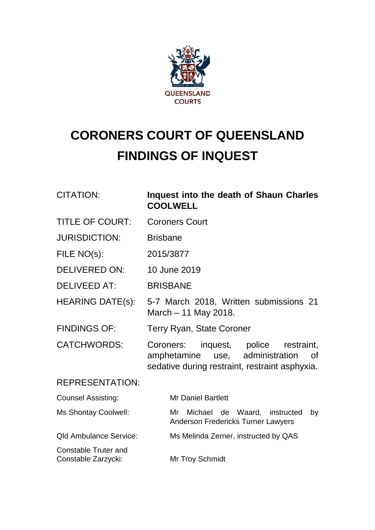

# **CORONERS COURT OF QUEENSLAND FINDINGS OF INQUEST**

| <b>CITATION:</b>                                   | Inquest into the death of Shaun Charles<br><b>COOLWELL</b>                                                                             |  |  |
|----------------------------------------------------|----------------------------------------------------------------------------------------------------------------------------------------|--|--|
| <b>TITLE OF COURT:</b>                             | <b>Coroners Court</b>                                                                                                                  |  |  |
| <b>JURISDICTION:</b>                               | <b>Brisbane</b>                                                                                                                        |  |  |
| FILE NO(s):                                        | 2015/3877                                                                                                                              |  |  |
| <b>DELIVERED ON:</b>                               | 10 June 2019                                                                                                                           |  |  |
| <b>DELIVEED AT:</b>                                | <b>BRISBANE</b>                                                                                                                        |  |  |
| <b>HEARING DATE(s):</b>                            | 5-7 March 2018, Written submissions 21<br>March $-11$ May 2018.                                                                        |  |  |
| <b>FINDINGS OF:</b>                                | <b>Terry Ryan, State Coroner</b>                                                                                                       |  |  |
| <b>CATCHWORDS:</b>                                 | Coroners: inquest, police restraint,<br>amphetamine use, administration<br><b>of</b><br>sedative during restraint, restraint asphyxia. |  |  |
| <b>REPRESENTATION:</b>                             |                                                                                                                                        |  |  |
| <b>Counsel Assisting:</b>                          | <b>Mr Daniel Bartlett</b>                                                                                                              |  |  |
| Ms Shontay Coolwell:                               | Michael de Waard, instructed<br>Mr<br>by<br><b>Anderson Fredericks Turner Lawyers</b>                                                  |  |  |
| <b>Qld Ambulance Service:</b>                      | Ms Melinda Zerner, instructed by QAS                                                                                                   |  |  |
| <b>Constable Truter and</b><br>Constable Zarzycki: | Mr Troy Schmidt                                                                                                                        |  |  |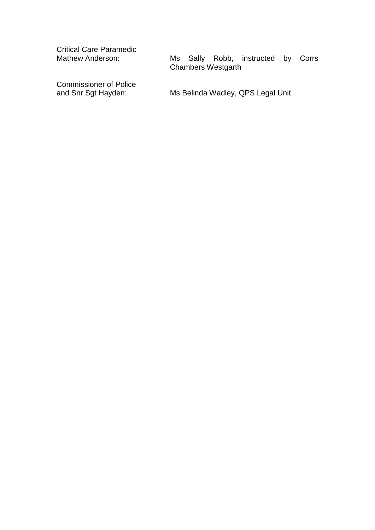Critical Care Paramedic

Commissioner of Police<br>and Snr Sgt Hayden:

Ms Sally Robb, instructed by Corrs Chambers Westgarth

Ms Belinda Wadley, QPS Legal Unit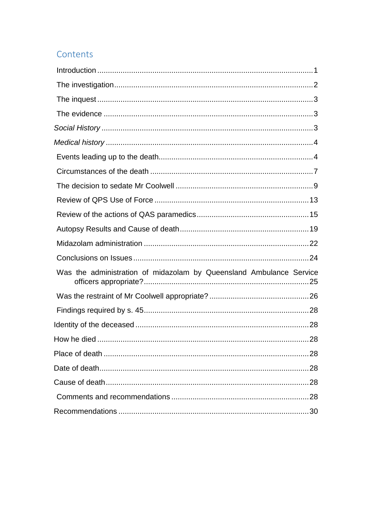## Contents

| Was the administration of midazolam by Queensland Ambulance Service |    |
|---------------------------------------------------------------------|----|
|                                                                     |    |
|                                                                     |    |
|                                                                     |    |
|                                                                     |    |
|                                                                     | 28 |
|                                                                     |    |
|                                                                     |    |
|                                                                     |    |
|                                                                     |    |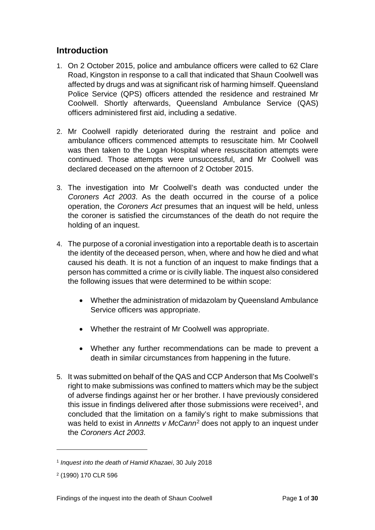#### <span id="page-3-0"></span>**Introduction**

- 1. On 2 October 2015, police and ambulance officers were called to 62 Clare Road, Kingston in response to a call that indicated that Shaun Coolwell was affected by drugs and was at significant risk of harming himself. Queensland Police Service (QPS) officers attended the residence and restrained Mr Coolwell. Shortly afterwards, Queensland Ambulance Service (QAS) officers administered first aid, including a sedative.
- 2. Mr Coolwell rapidly deteriorated during the restraint and police and ambulance officers commenced attempts to resuscitate him. Mr Coolwell was then taken to the Logan Hospital where resuscitation attempts were continued. Those attempts were unsuccessful, and Mr Coolwell was declared deceased on the afternoon of 2 October 2015.
- 3. The investigation into Mr Coolwell's death was conducted under the *Coroners Act 2003*. As the death occurred in the course of a police operation, the *Coroners Act* presumes that an inquest will be held, unless the coroner is satisfied the circumstances of the death do not require the holding of an inquest.
- 4. The purpose of a coronial investigation into a reportable death is to ascertain the identity of the deceased person, when, where and how he died and what caused his death. It is not a function of an inquest to make findings that a person has committed a crime or is civilly liable. The inquest also considered the following issues that were determined to be within scope:
	- Whether the administration of midazolam by Queensland Ambulance Service officers was appropriate.
	- Whether the restraint of Mr Coolwell was appropriate.
	- Whether any further recommendations can be made to prevent a death in similar circumstances from happening in the future.
- 5. It was submitted on behalf of the QAS and CCP Anderson that Ms Coolwell's right to make submissions was confined to matters which may be the subject of adverse findings against her or her brother. I have previously considered this issue in findings delivered after those submissions were received<sup>1</sup>, and concluded that the limitation on a family's right to make submissions that was held to exist in *Annetts v McCann*[2](#page-3-2) does not apply to an inquest under the *Coroners Act 2003*.

<span id="page-3-1"></span><sup>1</sup> *Inquest into the death of Hamid Khazaei*, 30 July 2018

<span id="page-3-2"></span><sup>2</sup> (1990) 170 CLR 596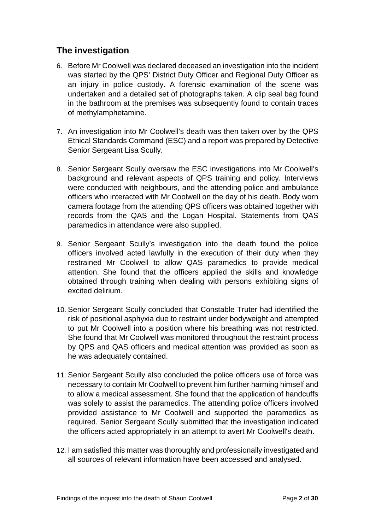## <span id="page-4-0"></span>**The investigation**

- 6. Before Mr Coolwell was declared deceased an investigation into the incident was started by the QPS' District Duty Officer and Regional Duty Officer as an injury in police custody. A forensic examination of the scene was undertaken and a detailed set of photographs taken. A clip seal bag found in the bathroom at the premises was subsequently found to contain traces of methylamphetamine.
- 7. An investigation into Mr Coolwell's death was then taken over by the QPS Ethical Standards Command (ESC) and a report was prepared by Detective Senior Sergeant Lisa Scully.
- 8. Senior Sergeant Scully oversaw the ESC investigations into Mr Coolwell's background and relevant aspects of QPS training and policy. Interviews were conducted with neighbours, and the attending police and ambulance officers who interacted with Mr Coolwell on the day of his death. Body worn camera footage from the attending QPS officers was obtained together with records from the QAS and the Logan Hospital. Statements from QAS paramedics in attendance were also supplied.
- 9. Senior Sergeant Scully's investigation into the death found the police officers involved acted lawfully in the execution of their duty when they restrained Mr Coolwell to allow QAS paramedics to provide medical attention. She found that the officers applied the skills and knowledge obtained through training when dealing with persons exhibiting signs of excited delirium.
- 10. Senior Sergeant Scully concluded that Constable Truter had identified the risk of positional asphyxia due to restraint under bodyweight and attempted to put Mr Coolwell into a position where his breathing was not restricted. She found that Mr Coolwell was monitored throughout the restraint process by QPS and QAS officers and medical attention was provided as soon as he was adequately contained.
- 11. Senior Sergeant Scully also concluded the police officers use of force was necessary to contain Mr Coolwell to prevent him further harming himself and to allow a medical assessment. She found that the application of handcuffs was solely to assist the paramedics. The attending police officers involved provided assistance to Mr Coolwell and supported the paramedics as required. Senior Sergeant Scully submitted that the investigation indicated the officers acted appropriately in an attempt to avert Mr Coolwell's death.
- 12. I am satisfied this matter was thoroughly and professionally investigated and all sources of relevant information have been accessed and analysed.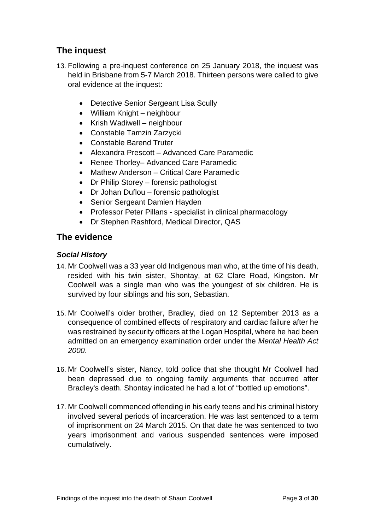## <span id="page-5-0"></span>**The inquest**

- 13. Following a pre-inquest conference on 25 January 2018, the inquest was held in Brisbane from 5-7 March 2018. Thirteen persons were called to give oral evidence at the inquest:
	- Detective Senior Sergeant Lisa Scully
	- William Knight neighbour
	- Krish Wadiwell neighbour
	- Constable Tamzin Zarzycki
	- Constable Barend Truter
	- Alexandra Prescott Advanced Care Paramedic
	- Renee Thorley– Advanced Care Paramedic
	- Mathew Anderson Critical Care Paramedic
	- Dr Philip Storey forensic pathologist
	- Dr Johan Duflou forensic pathologist
	- Senior Sergeant Damien Hayden
	- Professor Peter Pillans specialist in clinical pharmacology
	- Dr Stephen Rashford, Medical Director, QAS

#### <span id="page-5-1"></span>**The evidence**

#### <span id="page-5-2"></span>*Social History*

- 14. Mr Coolwell was a 33 year old Indigenous man who, at the time of his death, resided with his twin sister, Shontay, at 62 Clare Road, Kingston. Mr Coolwell was a single man who was the youngest of six children. He is survived by four siblings and his son, Sebastian.
- 15. Mr Coolwell's older brother, Bradley, died on 12 September 2013 as a consequence of combined effects of respiratory and cardiac failure after he was restrained by security officers at the Logan Hospital, where he had been admitted on an emergency examination order under the *Mental Health Act 2000*.
- 16. Mr Coolwell's sister, Nancy, told police that she thought Mr Coolwell had been depressed due to ongoing family arguments that occurred after Bradley's death. Shontay indicated he had a lot of "bottled up emotions".
- 17. Mr Coolwell commenced offending in his early teens and his criminal history involved several periods of incarceration. He was last sentenced to a term of imprisonment on 24 March 2015. On that date he was sentenced to two years imprisonment and various suspended sentences were imposed cumulatively.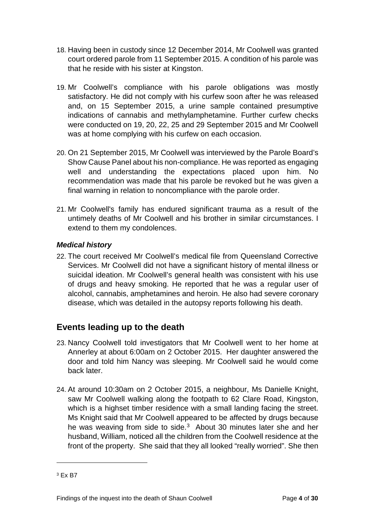- 18. Having been in custody since 12 December 2014, Mr Coolwell was granted court ordered parole from 11 September 2015. A condition of his parole was that he reside with his sister at Kingston.
- 19. Mr Coolwell's compliance with his parole obligations was mostly satisfactory. He did not comply with his curfew soon after he was released and, on 15 September 2015, a urine sample contained presumptive indications of cannabis and methylamphetamine. Further curfew checks were conducted on 19, 20, 22, 25 and 29 September 2015 and Mr Coolwell was at home complying with his curfew on each occasion.
- 20. On 21 September 2015, Mr Coolwell was interviewed by the Parole Board's Show Cause Panel about his non-compliance. He was reported as engaging well and understanding the expectations placed upon him. No recommendation was made that his parole be revoked but he was given a final warning in relation to noncompliance with the parole order.
- 21. Mr Coolwell's family has endured significant trauma as a result of the untimely deaths of Mr Coolwell and his brother in similar circumstances. I extend to them my condolences.

#### <span id="page-6-0"></span>*Medical history*

22. The court received Mr Coolwell's medical file from Queensland Corrective Services. Mr Coolwell did not have a significant history of mental illness or suicidal ideation. Mr Coolwell's general health was consistent with his use of drugs and heavy smoking. He reported that he was a regular user of alcohol, cannabis, amphetamines and heroin. He also had severe coronary disease, which was detailed in the autopsy reports following his death.

## <span id="page-6-1"></span>**Events leading up to the death**

- 23. Nancy Coolwell told investigators that Mr Coolwell went to her home at Annerley at about 6:00am on 2 October 2015. Her daughter answered the door and told him Nancy was sleeping. Mr Coolwell said he would come back later.
- 24. At around 10:30am on 2 October 2015, a neighbour, Ms Danielle Knight, saw Mr Coolwell walking along the footpath to 62 Clare Road, Kingston, which is a highset timber residence with a small landing facing the street. Ms Knight said that Mr Coolwell appeared to be affected by drugs because he was weaving from side to side.<sup>[3](#page-6-2)</sup> About 30 minutes later she and her husband, William, noticed all the children from the Coolwell residence at the front of the property. She said that they all looked "really worried". She then

<span id="page-6-2"></span><sup>3</sup> Ex B7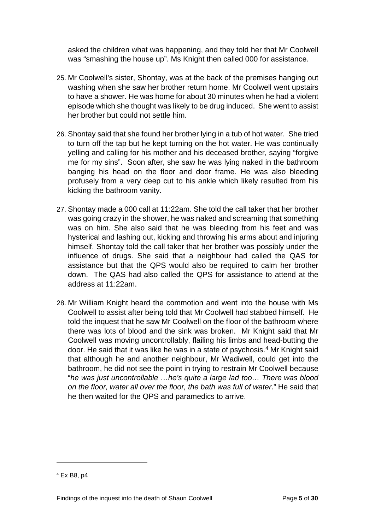asked the children what was happening, and they told her that Mr Coolwell was "smashing the house up". Ms Knight then called 000 for assistance.

- 25. Mr Coolwell's sister, Shontay, was at the back of the premises hanging out washing when she saw her brother return home. Mr Coolwell went upstairs to have a shower. He was home for about 30 minutes when he had a violent episode which she thought was likely to be drug induced. She went to assist her brother but could not settle him.
- 26. Shontay said that she found her brother lying in a tub of hot water. She tried to turn off the tap but he kept turning on the hot water. He was continually yelling and calling for his mother and his deceased brother, saying "forgive me for my sins". Soon after, she saw he was lying naked in the bathroom banging his head on the floor and door frame. He was also bleeding profusely from a very deep cut to his ankle which likely resulted from his kicking the bathroom vanity.
- 27. Shontay made a 000 call at 11:22am. She told the call taker that her brother was going crazy in the shower, he was naked and screaming that something was on him. She also said that he was bleeding from his feet and was hysterical and lashing out, kicking and throwing his arms about and injuring himself. Shontay told the call taker that her brother was possibly under the influence of drugs. She said that a neighbour had called the QAS for assistance but that the QPS would also be required to calm her brother down. The QAS had also called the QPS for assistance to attend at the address at 11:22am.
- 28. Mr William Knight heard the commotion and went into the house with Ms Coolwell to assist after being told that Mr Coolwell had stabbed himself. He told the inquest that he saw Mr Coolwell on the floor of the bathroom where there was lots of blood and the sink was broken. Mr Knight said that Mr Coolwell was moving uncontrollably, flailing his limbs and head-butting the door. He said that it was like he was in a state of psychosis.[4](#page-7-0) Mr Knight said that although he and another neighbour, Mr Wadiwell, could get into the bathroom, he did not see the point in trying to restrain Mr Coolwell because "*he was just uncontrollable …he's quite a large lad too… There was blood on the floor, water all over the floor, the bath was full of water*." He said that he then waited for the QPS and paramedics to arrive.

<span id="page-7-0"></span><sup>4</sup> Ex B8, p4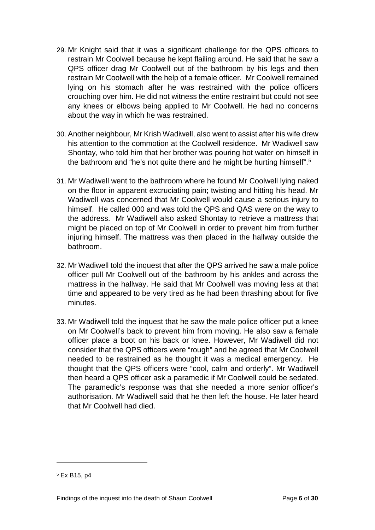- 29. Mr Knight said that it was a significant challenge for the QPS officers to restrain Mr Coolwell because he kept flailing around. He said that he saw a QPS officer drag Mr Coolwell out of the bathroom by his legs and then restrain Mr Coolwell with the help of a female officer. Mr Coolwell remained lying on his stomach after he was restrained with the police officers crouching over him. He did not witness the entire restraint but could not see any knees or elbows being applied to Mr Coolwell. He had no concerns about the way in which he was restrained.
- 30. Another neighbour, Mr Krish Wadiwell, also went to assist after his wife drew his attention to the commotion at the Coolwell residence. Mr Wadiwell saw Shontay, who told him that her brother was pouring hot water on himself in the bathroom and "he's not quite there and he might be hurting himself". [5](#page-8-0)
- 31. Mr Wadiwell went to the bathroom where he found Mr Coolwell lying naked on the floor in apparent excruciating pain; twisting and hitting his head. Mr Wadiwell was concerned that Mr Coolwell would cause a serious injury to himself. He called 000 and was told the QPS and QAS were on the way to the address. Mr Wadiwell also asked Shontay to retrieve a mattress that might be placed on top of Mr Coolwell in order to prevent him from further injuring himself. The mattress was then placed in the hallway outside the bathroom.
- 32. Mr Wadiwell told the inquest that after the QPS arrived he saw a male police officer pull Mr Coolwell out of the bathroom by his ankles and across the mattress in the hallway. He said that Mr Coolwell was moving less at that time and appeared to be very tired as he had been thrashing about for five minutes.
- 33. Mr Wadiwell told the inquest that he saw the male police officer put a knee on Mr Coolwell's back to prevent him from moving. He also saw a female officer place a boot on his back or knee. However, Mr Wadiwell did not consider that the QPS officers were "rough" and he agreed that Mr Coolwell needed to be restrained as he thought it was a medical emergency. He thought that the QPS officers were "cool, calm and orderly". Mr Wadiwell then heard a QPS officer ask a paramedic if Mr Coolwell could be sedated. The paramedic's response was that she needed a more senior officer's authorisation. Mr Wadiwell said that he then left the house. He later heard that Mr Coolwell had died.

<span id="page-8-0"></span><sup>5</sup> Ex B15, p4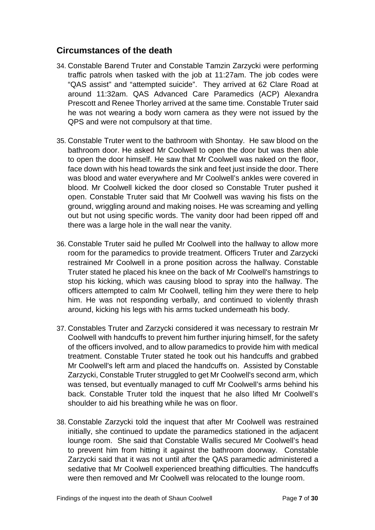## <span id="page-9-0"></span>**Circumstances of the death**

- 34. Constable Barend Truter and Constable Tamzin Zarzycki were performing traffic patrols when tasked with the job at 11:27am. The job codes were "QAS assist" and "attempted suicide". They arrived at 62 Clare Road at around 11:32am. QAS Advanced Care Paramedics (ACP) Alexandra Prescott and Renee Thorley arrived at the same time. Constable Truter said he was not wearing a body worn camera as they were not issued by the QPS and were not compulsory at that time.
- 35. Constable Truter went to the bathroom with Shontay. He saw blood on the bathroom door. He asked Mr Coolwell to open the door but was then able to open the door himself. He saw that Mr Coolwell was naked on the floor, face down with his head towards the sink and feet just inside the door. There was blood and water everywhere and Mr Coolwell's ankles were covered in blood. Mr Coolwell kicked the door closed so Constable Truter pushed it open. Constable Truter said that Mr Coolwell was waving his fists on the ground, wriggling around and making noises. He was screaming and yelling out but not using specific words. The vanity door had been ripped off and there was a large hole in the wall near the vanity.
- 36. Constable Truter said he pulled Mr Coolwell into the hallway to allow more room for the paramedics to provide treatment. Officers Truter and Zarzycki restrained Mr Coolwell in a prone position across the hallway. Constable Truter stated he placed his knee on the back of Mr Coolwell's hamstrings to stop his kicking, which was causing blood to spray into the hallway. The officers attempted to calm Mr Coolwell, telling him they were there to help him. He was not responding verbally, and continued to violently thrash around, kicking his legs with his arms tucked underneath his body.
- 37. Constables Truter and Zarzycki considered it was necessary to restrain Mr Coolwell with handcuffs to prevent him further injuring himself, for the safety of the officers involved, and to allow paramedics to provide him with medical treatment. Constable Truter stated he took out his handcuffs and grabbed Mr Coolwell's left arm and placed the handcuffs on. Assisted by Constable Zarzycki, Constable Truter struggled to get Mr Coolwell's second arm, which was tensed, but eventually managed to cuff Mr Coolwell's arms behind his back. Constable Truter told the inquest that he also lifted Mr Coolwell's shoulder to aid his breathing while he was on floor.
- 38. Constable Zarzycki told the inquest that after Mr Coolwell was restrained initially, she continued to update the paramedics stationed in the adjacent lounge room. She said that Constable Wallis secured Mr Coolwell's head to prevent him from hitting it against the bathroom doorway. Constable Zarzycki said that it was not until after the QAS paramedic administered a sedative that Mr Coolwell experienced breathing difficulties. The handcuffs were then removed and Mr Coolwell was relocated to the lounge room.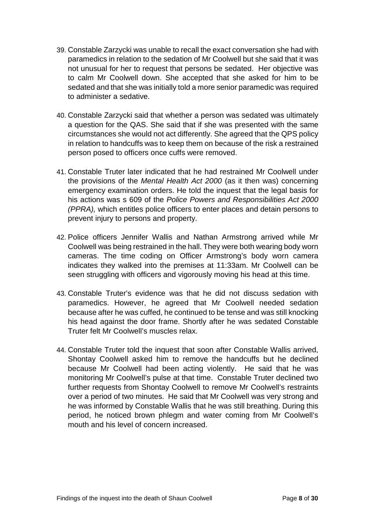- 39. Constable Zarzycki was unable to recall the exact conversation she had with paramedics in relation to the sedation of Mr Coolwell but she said that it was not unusual for her to request that persons be sedated. Her objective was to calm Mr Coolwell down. She accepted that she asked for him to be sedated and that she was initially told a more senior paramedic was required to administer a sedative.
- 40. Constable Zarzycki said that whether a person was sedated was ultimately a question for the QAS. She said that if she was presented with the same circumstances she would not act differently. She agreed that the QPS policy in relation to handcuffs was to keep them on because of the risk a restrained person posed to officers once cuffs were removed.
- 41. Constable Truter later indicated that he had restrained Mr Coolwell under the provisions of the *Mental Health Act 2000* (as it then was) concerning emergency examination orders. He told the inquest that the legal basis for his actions was s 609 of the *Police Powers and Responsibilities Act 2000 (PPRA),* which entitles police officers to enter places and detain persons to prevent injury to persons and property.
- 42. Police officers Jennifer Wallis and Nathan Armstrong arrived while Mr Coolwell was being restrained in the hall. They were both wearing body worn cameras. The time coding on Officer Armstrong's body worn camera indicates they walked into the premises at 11:33am. Mr Coolwell can be seen struggling with officers and vigorously moving his head at this time.
- 43. Constable Truter's evidence was that he did not discuss sedation with paramedics. However, he agreed that Mr Coolwell needed sedation because after he was cuffed, he continued to be tense and was still knocking his head against the door frame. Shortly after he was sedated Constable Truter felt Mr Coolwell's muscles relax.
- 44. Constable Truter told the inquest that soon after Constable Wallis arrived, Shontay Coolwell asked him to remove the handcuffs but he declined because Mr Coolwell had been acting violently. He said that he was monitoring Mr Coolwell's pulse at that time. Constable Truter declined two further requests from Shontay Coolwell to remove Mr Coolwell's restraints over a period of two minutes. He said that Mr Coolwell was very strong and he was informed by Constable Wallis that he was still breathing. During this period, he noticed brown phlegm and water coming from Mr Coolwell's mouth and his level of concern increased.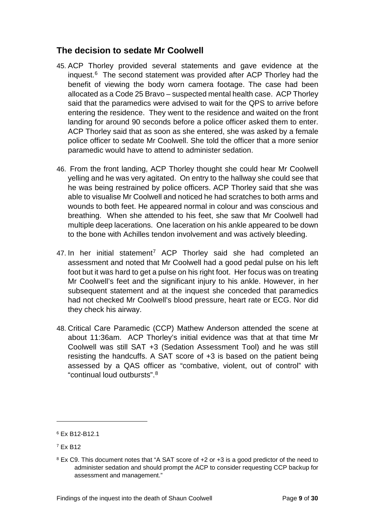## <span id="page-11-0"></span>**The decision to sedate Mr Coolwell**

- 45. ACP Thorley provided several statements and gave evidence at the inquest.[6](#page-11-1) The second statement was provided after ACP Thorley had the benefit of viewing the body worn camera footage. The case had been allocated as a Code 25 Bravo – suspected mental health case. ACP Thorley said that the paramedics were advised to wait for the QPS to arrive before entering the residence. They went to the residence and waited on the front landing for around 90 seconds before a police officer asked them to enter. ACP Thorley said that as soon as she entered, she was asked by a female police officer to sedate Mr Coolwell. She told the officer that a more senior paramedic would have to attend to administer sedation.
- 46. From the front landing, ACP Thorley thought she could hear Mr Coolwell yelling and he was very agitated. On entry to the hallway she could see that he was being restrained by police officers. ACP Thorley said that she was able to visualise Mr Coolwell and noticed he had scratches to both arms and wounds to both feet. He appeared normal in colour and was conscious and breathing. When she attended to his feet, she saw that Mr Coolwell had multiple deep lacerations. One laceration on his ankle appeared to be down to the bone with Achilles tendon involvement and was actively bleeding.
- 4[7](#page-11-2). In her initial statement<sup>7</sup> ACP Thorley said she had completed an assessment and noted that Mr Coolwell had a good pedal pulse on his left foot but it was hard to get a pulse on his right foot. Her focus was on treating Mr Coolwell's feet and the significant injury to his ankle. However, in her subsequent statement and at the inquest she conceded that paramedics had not checked Mr Coolwell's blood pressure, heart rate or ECG. Nor did they check his airway.
- 48. Critical Care Paramedic (CCP) Mathew Anderson attended the scene at about 11:36am. ACP Thorley's initial evidence was that at that time Mr Coolwell was still SAT +3 (Sedation Assessment Tool) and he was still resisting the handcuffs. A SAT score of +3 is based on the patient being assessed by a QAS officer as "combative, violent, out of control" with "continual loud outbursts".<sup>[8](#page-11-3)</sup>

<span id="page-11-1"></span><sup>6</sup> Ex B12-B12.1

<span id="page-11-2"></span><sup>7</sup> Ex B12

<span id="page-11-3"></span><sup>&</sup>lt;sup>8</sup> Ex C9. This document notes that "A SAT score of +2 or +3 is a good predictor of the need to administer sedation and should prompt the ACP to consider requesting CCP backup for assessment and management."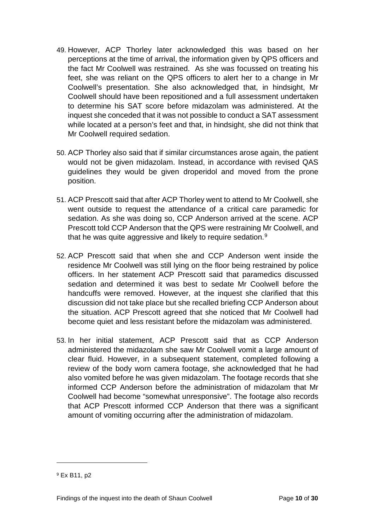- 49. However, ACP Thorley later acknowledged this was based on her perceptions at the time of arrival, the information given by QPS officers and the fact Mr Coolwell was restrained. As she was focussed on treating his feet, she was reliant on the QPS officers to alert her to a change in Mr Coolwell's presentation. She also acknowledged that, in hindsight, Mr Coolwell should have been repositioned and a full assessment undertaken to determine his SAT score before midazolam was administered. At the inquest she conceded that it was not possible to conduct a SAT assessment while located at a person's feet and that, in hindsight, she did not think that Mr Coolwell required sedation.
- 50. ACP Thorley also said that if similar circumstances arose again, the patient would not be given midazolam. Instead, in accordance with revised QAS guidelines they would be given droperidol and moved from the prone position.
- 51. ACP Prescott said that after ACP Thorley went to attend to Mr Coolwell, she went outside to request the attendance of a critical care paramedic for sedation. As she was doing so, CCP Anderson arrived at the scene. ACP Prescott told CCP Anderson that the QPS were restraining Mr Coolwell, and that he was quite aggressive and likely to require sedation.<sup>[9](#page-12-0)</sup>
- 52. ACP Prescott said that when she and CCP Anderson went inside the residence Mr Coolwell was still lying on the floor being restrained by police officers. In her statement ACP Prescott said that paramedics discussed sedation and determined it was best to sedate Mr Coolwell before the handcuffs were removed. However, at the inquest she clarified that this discussion did not take place but she recalled briefing CCP Anderson about the situation. ACP Prescott agreed that she noticed that Mr Coolwell had become quiet and less resistant before the midazolam was administered.
- 53. In her initial statement, ACP Prescott said that as CCP Anderson administered the midazolam she saw Mr Coolwell vomit a large amount of clear fluid. However, in a subsequent statement, completed following a review of the body worn camera footage, she acknowledged that he had also vomited before he was given midazolam. The footage records that she informed CCP Anderson before the administration of midazolam that Mr Coolwell had become "somewhat unresponsive". The footage also records that ACP Prescott informed CCP Anderson that there was a significant amount of vomiting occurring after the administration of midazolam.

<span id="page-12-0"></span><sup>9</sup> Ex B11, p2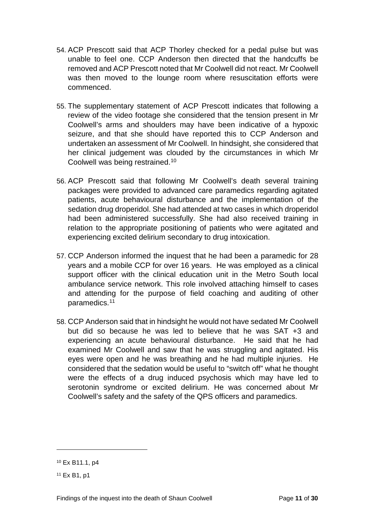- 54. ACP Prescott said that ACP Thorley checked for a pedal pulse but was unable to feel one. CCP Anderson then directed that the handcuffs be removed and ACP Prescott noted that Mr Coolwell did not react. Mr Coolwell was then moved to the lounge room where resuscitation efforts were commenced.
- 55. The supplementary statement of ACP Prescott indicates that following a review of the video footage she considered that the tension present in Mr Coolwell's arms and shoulders may have been indicative of a hypoxic seizure, and that she should have reported this to CCP Anderson and undertaken an assessment of Mr Coolwell. In hindsight, she considered that her clinical judgement was clouded by the circumstances in which Mr Coolwell was being restrained.[10](#page-13-0)
- 56. ACP Prescott said that following Mr Coolwell's death several training packages were provided to advanced care paramedics regarding agitated patients, acute behavioural disturbance and the implementation of the sedation drug droperidol. She had attended at two cases in which droperidol had been administered successfully. She had also received training in relation to the appropriate positioning of patients who were agitated and experiencing excited delirium secondary to drug intoxication.
- 57. CCP Anderson informed the inquest that he had been a paramedic for 28 years and a mobile CCP for over 16 years. He was employed as a clinical support officer with the clinical education unit in the Metro South local ambulance service network. This role involved attaching himself to cases and attending for the purpose of field coaching and auditing of other paramedics. [11](#page-13-1)
- 58. CCP Anderson said that in hindsight he would not have sedated Mr Coolwell but did so because he was led to believe that he was SAT +3 and experiencing an acute behavioural disturbance. He said that he had examined Mr Coolwell and saw that he was struggling and agitated. His eyes were open and he was breathing and he had multiple injuries. He considered that the sedation would be useful to "switch off" what he thought were the effects of a drug induced psychosis which may have led to serotonin syndrome or excited delirium. He was concerned about Mr Coolwell's safety and the safety of the QPS officers and paramedics.

<span id="page-13-0"></span><sup>10</sup> Ex B11.1, p4

<span id="page-13-1"></span><sup>11</sup> Ex B1, p1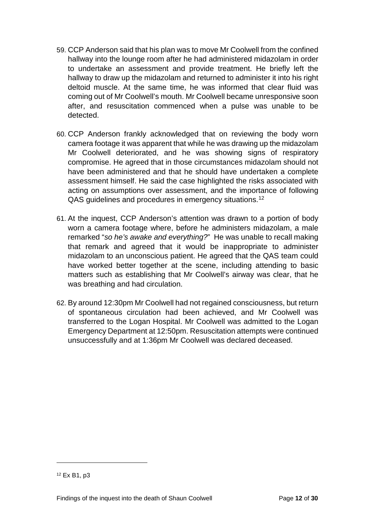- 59. CCP Anderson said that his plan was to move Mr Coolwell from the confined hallway into the lounge room after he had administered midazolam in order to undertake an assessment and provide treatment. He briefly left the hallway to draw up the midazolam and returned to administer it into his right deltoid muscle. At the same time, he was informed that clear fluid was coming out of Mr Coolwell's mouth. Mr Coolwell became unresponsive soon after, and resuscitation commenced when a pulse was unable to be detected.
- 60. CCP Anderson frankly acknowledged that on reviewing the body worn camera footage it was apparent that while he was drawing up the midazolam Mr Coolwell deteriorated, and he was showing signs of respiratory compromise. He agreed that in those circumstances midazolam should not have been administered and that he should have undertaken a complete assessment himself. He said the case highlighted the risks associated with acting on assumptions over assessment, and the importance of following QAS guidelines and procedures in emergency situations.[12](#page-14-0)
- 61. At the inquest, CCP Anderson's attention was drawn to a portion of body worn a camera footage where, before he administers midazolam, a male remarked "*so he's awake and everything?*" He was unable to recall making that remark and agreed that it would be inappropriate to administer midazolam to an unconscious patient. He agreed that the QAS team could have worked better together at the scene, including attending to basic matters such as establishing that Mr Coolwell's airway was clear, that he was breathing and had circulation.
- 62. By around 12:30pm Mr Coolwell had not regained consciousness, but return of spontaneous circulation had been achieved, and Mr Coolwell was transferred to the Logan Hospital. Mr Coolwell was admitted to the Logan Emergency Department at 12:50pm. Resuscitation attempts were continued unsuccessfully and at 1:36pm Mr Coolwell was declared deceased.

<span id="page-14-0"></span><sup>12</sup> Ex B1, p3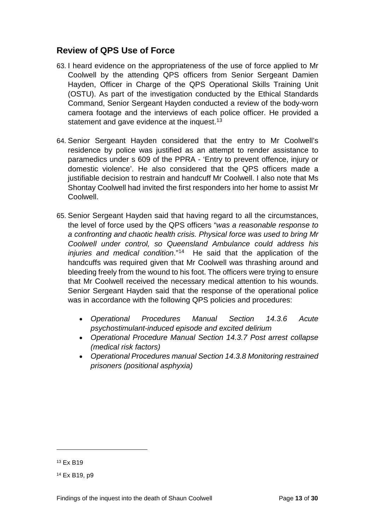#### <span id="page-15-0"></span>**Review of QPS Use of Force**

- 63. I heard evidence on the appropriateness of the use of force applied to Mr Coolwell by the attending QPS officers from Senior Sergeant Damien Hayden, Officer in Charge of the QPS Operational Skills Training Unit (OSTU). As part of the investigation conducted by the Ethical Standards Command, Senior Sergeant Hayden conducted a review of the body-worn camera footage and the interviews of each police officer. He provided a statement and gave evidence at the inquest.<sup>[13](#page-15-1)</sup>
- 64. Senior Sergeant Hayden considered that the entry to Mr Coolwell's residence by police was justified as an attempt to render assistance to paramedics under s 609 of the PPRA - 'Entry to prevent offence, injury or domestic violence'. He also considered that the QPS officers made a justifiable decision to restrain and handcuff Mr Coolwell. I also note that Ms Shontay Coolwell had invited the first responders into her home to assist Mr Coolwell.
- 65. Senior Sergeant Hayden said that having regard to all the circumstances, the level of force used by the QPS officers "*was a reasonable response to a confronting and chaotic health crisis. Physical force was used to bring Mr Coolwell under control, so Queensland Ambulance could address his injuries and medical condition*."[14](#page-15-2) He said that the application of the handcuffs was required given that Mr Coolwell was thrashing around and bleeding freely from the wound to his foot. The officers were trying to ensure that Mr Coolwell received the necessary medical attention to his wounds. Senior Sergeant Hayden said that the response of the operational police was in accordance with the following QPS policies and procedures:
	- *Operational Procedures Manual Section 14.3.6 Acute psychostimulant-induced episode and excited delirium*
	- *Operational Procedure Manual Section 14.3.7 Post arrest collapse (medical risk factors)*
	- *Operational Procedures manual Section 14.3.8 Monitoring restrained prisoners (positional asphyxia)*

<span id="page-15-1"></span><sup>13</sup> Ex B19

<span id="page-15-2"></span><sup>14</sup> Ex B19, p9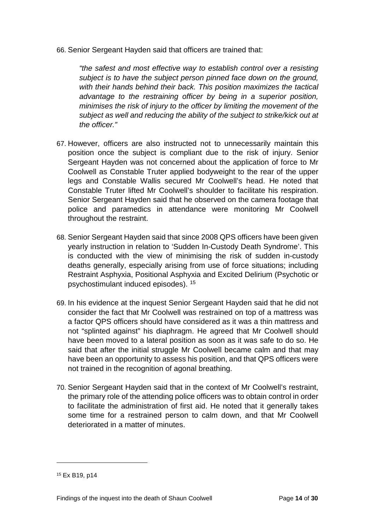66. Senior Sergeant Hayden said that officers are trained that:

*"the safest and most effective way to establish control over a resisting subject is to have the subject person pinned face down on the ground, with their hands behind their back. This position maximizes the tactical advantage to the restraining officer by being in a superior position, minimises the risk of injury to the officer by limiting the movement of the subject as well and reducing the ability of the subject to strike/kick out at the officer."* 

- 67. However, officers are also instructed not to unnecessarily maintain this position once the subject is compliant due to the risk of injury. Senior Sergeant Hayden was not concerned about the application of force to Mr Coolwell as Constable Truter applied bodyweight to the rear of the upper legs and Constable Wallis secured Mr Coolwell's head. He noted that Constable Truter lifted Mr Coolwell's shoulder to facilitate his respiration. Senior Sergeant Hayden said that he observed on the camera footage that police and paramedics in attendance were monitoring Mr Coolwell throughout the restraint.
- 68. Senior Sergeant Hayden said that since 2008 QPS officers have been given yearly instruction in relation to 'Sudden In-Custody Death Syndrome'. This is conducted with the view of minimising the risk of sudden in-custody deaths generally, especially arising from use of force situations; including Restraint Asphyxia, Positional Asphyxia and Excited Delirium (Psychotic or psychostimulant induced episodes). [15](#page-16-0)
- 69. In his evidence at the inquest Senior Sergeant Hayden said that he did not consider the fact that Mr Coolwell was restrained on top of a mattress was a factor QPS officers should have considered as it was a thin mattress and not "splinted against" his diaphragm. He agreed that Mr Coolwell should have been moved to a lateral position as soon as it was safe to do so. He said that after the initial struggle Mr Coolwell became calm and that may have been an opportunity to assess his position, and that QPS officers were not trained in the recognition of agonal breathing.
- 70. Senior Sergeant Hayden said that in the context of Mr Coolwell's restraint, the primary role of the attending police officers was to obtain control in order to facilitate the administration of first aid. He noted that it generally takes some time for a restrained person to calm down, and that Mr Coolwell deteriorated in a matter of minutes.

<span id="page-16-0"></span><sup>15</sup> Ex B19, p14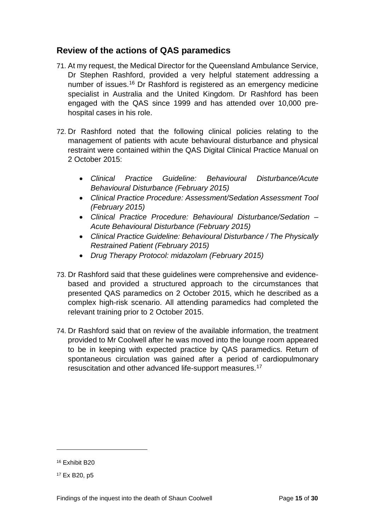#### <span id="page-17-0"></span>**Review of the actions of QAS paramedics**

- 71. At my request, the Medical Director for the Queensland Ambulance Service, Dr Stephen Rashford, provided a very helpful statement addressing a number of issues.[16](#page-17-1) Dr Rashford is registered as an emergency medicine specialist in Australia and the United Kingdom. Dr Rashford has been engaged with the QAS since 1999 and has attended over 10,000 prehospital cases in his role.
- 72. Dr Rashford noted that the following clinical policies relating to the management of patients with acute behavioural disturbance and physical restraint were contained within the QAS Digital Clinical Practice Manual on 2 October 2015:
	- *Clinical Practice Guideline: Behavioural Disturbance/Acute Behavioural Disturbance (February 2015)*
	- *Clinical Practice Procedure: Assessment/Sedation Assessment Tool (February 2015)*
	- *Clinical Practice Procedure: Behavioural Disturbance/Sedation – Acute Behavioural Disturbance (February 2015)*
	- *Clinical Practice Guideline: Behavioural Disturbance / The Physically Restrained Patient (February 2015)*
	- *Drug Therapy Protocol: midazolam (February 2015)*
- 73. Dr Rashford said that these guidelines were comprehensive and evidencebased and provided a structured approach to the circumstances that presented QAS paramedics on 2 October 2015, which he described as a complex high-risk scenario. All attending paramedics had completed the relevant training prior to 2 October 2015.
- 74. Dr Rashford said that on review of the available information, the treatment provided to Mr Coolwell after he was moved into the lounge room appeared to be in keeping with expected practice by QAS paramedics. Return of spontaneous circulation was gained after a period of cardiopulmonary resuscitation and other advanced life-support measures.[17](#page-17-2)

<span id="page-17-1"></span><sup>16</sup> Exhibit B20

<span id="page-17-2"></span><sup>17</sup> Ex B20, p5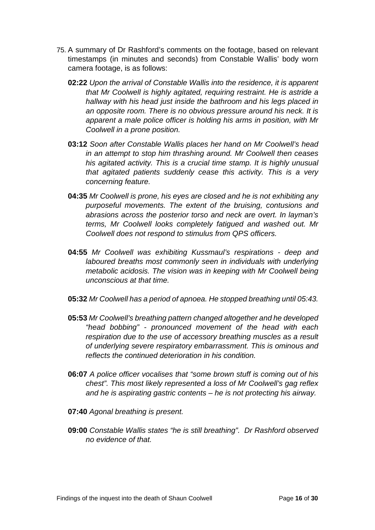- 75. A summary of Dr Rashford's comments on the footage, based on relevant timestamps (in minutes and seconds) from Constable Wallis' body worn camera footage, is as follows:
	- **02:22** *Upon the arrival of Constable Wallis into the residence, it is apparent that Mr Coolwell is highly agitated, requiring restraint. He is astride a hallway with his head just inside the bathroom and his legs placed in an opposite room. There is no obvious pressure around his neck. It is apparent a male police officer is holding his arms in position, with Mr Coolwell in a prone position.*
	- **03:12** *Soon after Constable Wallis places her hand on Mr Coolwell's head in an attempt to stop him thrashing around. Mr Coolwell then ceases his agitated activity. This is a crucial time stamp. It is highly unusual that agitated patients suddenly cease this activity. This is a very concerning feature.*
	- **04:35** *Mr Coolwell is prone, his eyes are closed and he is not exhibiting any purposeful movements. The extent of the bruising, contusions and abrasions across the posterior torso and neck are overt. In layman's terms, Mr Coolwell looks completely fatigued and washed out. Mr Coolwell does not respond to stimulus from QPS officers.*
	- **04:55** *Mr Coolwell was exhibiting Kussmaul's respirations - deep and laboured breaths most commonly seen in individuals with underlying metabolic acidosis. The vision was in keeping with Mr Coolwell being unconscious at that time.*
	- **05:32** *Mr Coolwell has a period of apnoea. He stopped breathing until 05:43.*
	- **05:53** *Mr Coolwell's breathing pattern changed altogether and he developed "head bobbing" - pronounced movement of the head with each respiration due to the use of accessory breathing muscles as a result of underlying severe respiratory embarrassment. This is ominous and reflects the continued deterioration in his condition.*
	- **06:07** *A police officer vocalises that "some brown stuff is coming out of his chest". This most likely represented a loss of Mr Coolwell's gag reflex and he is aspirating gastric contents – he is not protecting his airway.*
	- **07:40** *Agonal breathing is present.*
	- **09:00** *Constable Wallis states "he is still breathing". Dr Rashford observed no evidence of that.*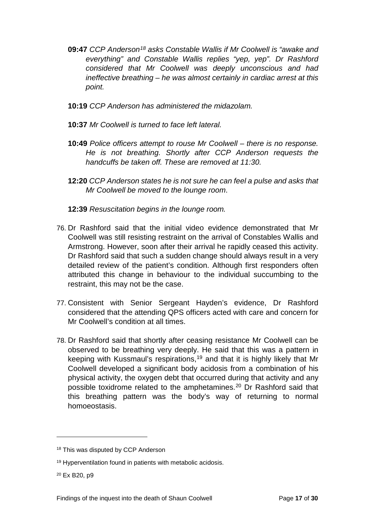- **09:47** *CCP Anderson[18](#page-19-0) asks Constable Wallis if Mr Coolwell is "awake and everything" and Constable Wallis replies "yep, yep". Dr Rashford considered that Mr Coolwell was deeply unconscious and had ineffective breathing – he was almost certainly in cardiac arrest at this point.*
- **10:19** *CCP Anderson has administered the midazolam.*
- **10:37** *Mr Coolwell is turned to face left lateral.*
- **10:49** *Police officers attempt to rouse Mr Coolwell – there is no response. He is not breathing. Shortly after CCP Anderson requests the handcuffs be taken off. These are removed at 11:30.*
- **12:20** *CCP Anderson states he is not sure he can feel a pulse and asks that Mr Coolwell be moved to the lounge room*.
- **12:39** *Resuscitation begins in the lounge room.*
- 76. Dr Rashford said that the initial video evidence demonstrated that Mr Coolwell was still resisting restraint on the arrival of Constables Wallis and Armstrong. However, soon after their arrival he rapidly ceased this activity. Dr Rashford said that such a sudden change should always result in a very detailed review of the patient's condition. Although first responders often attributed this change in behaviour to the individual succumbing to the restraint, this may not be the case.
- 77. Consistent with Senior Sergeant Hayden's evidence, Dr Rashford considered that the attending QPS officers acted with care and concern for Mr Coolwell's condition at all times.
- 78. Dr Rashford said that shortly after ceasing resistance Mr Coolwell can be observed to be breathing very deeply. He said that this was a pattern in keeping with Kussmaul's respirations, [19](#page-19-1) and that it is highly likely that Mr Coolwell developed a significant body acidosis from a combination of his physical activity, the oxygen debt that occurred during that activity and any possible toxidrome related to the amphetamines.[20](#page-19-2) Dr Rashford said that this breathing pattern was the body's way of returning to normal homoeostasis.

<span id="page-19-0"></span><sup>&</sup>lt;sup>18</sup> This was disputed by CCP Anderson

<span id="page-19-1"></span><sup>19</sup> Hyperventilation found in patients with metabolic acidosis.

<span id="page-19-2"></span><sup>20</sup> Ex B20, p9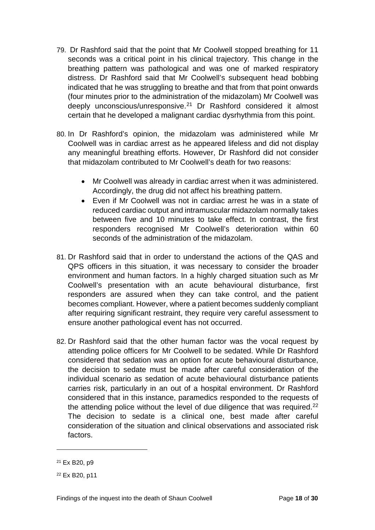- 79. Dr Rashford said that the point that Mr Coolwell stopped breathing for 11 seconds was a critical point in his clinical trajectory. This change in the breathing pattern was pathological and was one of marked respiratory distress. Dr Rashford said that Mr Coolwell's subsequent head bobbing indicated that he was struggling to breathe and that from that point onwards (four minutes prior to the administration of the midazolam) Mr Coolwell was deeply unconscious/unresponsive.[21](#page-20-0) Dr Rashford considered it almost certain that he developed a malignant cardiac dysrhythmia from this point.
- 80. In Dr Rashford's opinion, the midazolam was administered while Mr Coolwell was in cardiac arrest as he appeared lifeless and did not display any meaningful breathing efforts. However, Dr Rashford did not consider that midazolam contributed to Mr Coolwell's death for two reasons:
	- Mr Coolwell was already in cardiac arrest when it was administered. Accordingly, the drug did not affect his breathing pattern.
	- Even if Mr Coolwell was not in cardiac arrest he was in a state of reduced cardiac output and intramuscular midazolam normally takes between five and 10 minutes to take effect. In contrast, the first responders recognised Mr Coolwell's deterioration within 60 seconds of the administration of the midazolam.
- 81. Dr Rashford said that in order to understand the actions of the QAS and QPS officers in this situation, it was necessary to consider the broader environment and human factors. In a highly charged situation such as Mr Coolwell's presentation with an acute behavioural disturbance, first responders are assured when they can take control, and the patient becomes compliant. However, where a patient becomes suddenly compliant after requiring significant restraint, they require very careful assessment to ensure another pathological event has not occurred.
- 82. Dr Rashford said that the other human factor was the vocal request by attending police officers for Mr Coolwell to be sedated. While Dr Rashford considered that sedation was an option for acute behavioural disturbance, the decision to sedate must be made after careful consideration of the individual scenario as sedation of acute behavioural disturbance patients carries risk, particularly in an out of a hospital environment. Dr Rashford considered that in this instance, paramedics responded to the requests of the attending police without the level of due diligence that was required. $22$ The decision to sedate is a clinical one, best made after careful consideration of the situation and clinical observations and associated risk factors.

<span id="page-20-0"></span><sup>21</sup> Ex B20, p9

<span id="page-20-1"></span><sup>22</sup> Ex B20, p11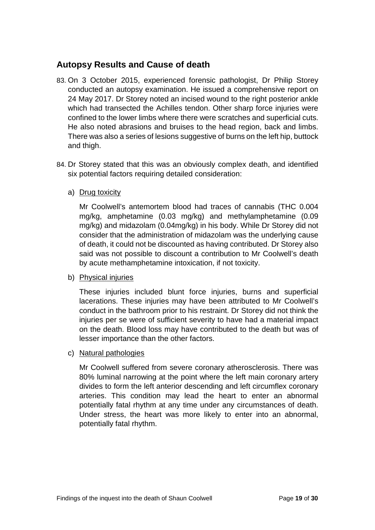## <span id="page-21-0"></span>**Autopsy Results and Cause of death**

- 83. On 3 October 2015, experienced forensic pathologist, Dr Philip Storey conducted an autopsy examination. He issued a comprehensive report on 24 May 2017. Dr Storey noted an incised wound to the right posterior ankle which had transected the Achilles tendon. Other sharp force injuries were confined to the lower limbs where there were scratches and superficial cuts. He also noted abrasions and bruises to the head region, back and limbs. There was also a series of lesions suggestive of burns on the left hip, buttock and thigh.
- 84. Dr Storey stated that this was an obviously complex death, and identified six potential factors requiring detailed consideration:
	- a) Drug toxicity

Mr Coolwell's antemortem blood had traces of cannabis (THC 0.004 mg/kg, amphetamine (0.03 mg/kg) and methylamphetamine (0.09 mg/kg) and midazolam (0.04mg/kg) in his body. While Dr Storey did not consider that the administration of midazolam was the underlying cause of death, it could not be discounted as having contributed. Dr Storey also said was not possible to discount a contribution to Mr Coolwell's death by acute methamphetamine intoxication, if not toxicity.

#### b) Physical injuries

These injuries included blunt force injuries, burns and superficial lacerations. These injuries may have been attributed to Mr Coolwell's conduct in the bathroom prior to his restraint. Dr Storey did not think the injuries per se were of sufficient severity to have had a material impact on the death. Blood loss may have contributed to the death but was of lesser importance than the other factors.

c) Natural pathologies

Mr Coolwell suffered from severe coronary atherosclerosis. There was 80% luminal narrowing at the point where the left main coronary artery divides to form the left anterior descending and left circumflex coronary arteries. This condition may lead the heart to enter an abnormal potentially fatal rhythm at any time under any circumstances of death. Under stress, the heart was more likely to enter into an abnormal, potentially fatal rhythm.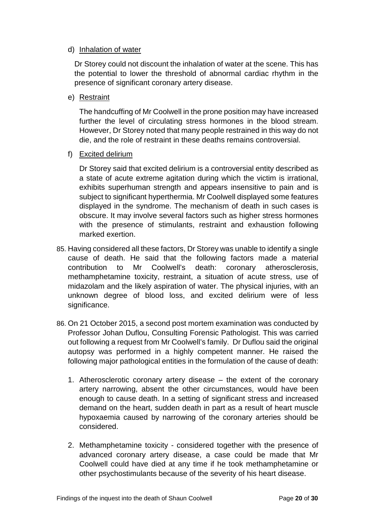#### d) Inhalation of water

Dr Storey could not discount the inhalation of water at the scene. This has the potential to lower the threshold of abnormal cardiac rhythm in the presence of significant coronary artery disease.

e) Restraint

The handcuffing of Mr Coolwell in the prone position may have increased further the level of circulating stress hormones in the blood stream. However, Dr Storey noted that many people restrained in this way do not die, and the role of restraint in these deaths remains controversial.

f) Excited delirium

Dr Storey said that excited delirium is a controversial entity described as a state of acute extreme agitation during which the victim is irrational, exhibits superhuman strength and appears insensitive to pain and is subject to significant hyperthermia. Mr Coolwell displayed some features displayed in the syndrome. The mechanism of death in such cases is obscure. It may involve several factors such as higher stress hormones with the presence of stimulants, restraint and exhaustion following marked exertion.

- 85. Having considered all these factors, Dr Storey was unable to identify a single cause of death. He said that the following factors made a material contribution to Mr Coolwell's death: coronary atherosclerosis, methamphetamine toxicity, restraint, a situation of acute stress, use of midazolam and the likely aspiration of water. The physical injuries, with an unknown degree of blood loss, and excited delirium were of less significance.
- 86. On 21 October 2015, a second post mortem examination was conducted by Professor Johan Duflou, Consulting Forensic Pathologist. This was carried out following a request from Mr Coolwell's family. Dr Duflou said the original autopsy was performed in a highly competent manner. He raised the following major pathological entities in the formulation of the cause of death:
	- 1. Atherosclerotic coronary artery disease the extent of the coronary artery narrowing, absent the other circumstances, would have been enough to cause death. In a setting of significant stress and increased demand on the heart, sudden death in part as a result of heart muscle hypoxaemia caused by narrowing of the coronary arteries should be considered.
	- 2. Methamphetamine toxicity considered together with the presence of advanced coronary artery disease, a case could be made that Mr Coolwell could have died at any time if he took methamphetamine or other psychostimulants because of the severity of his heart disease.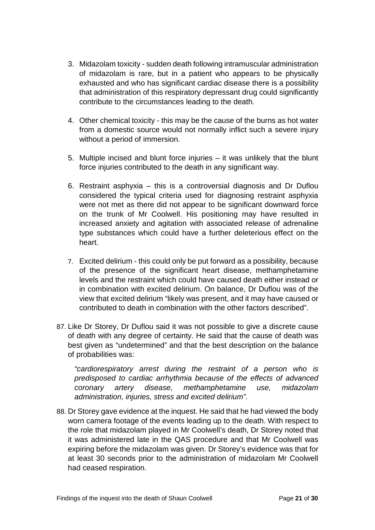- 3. Midazolam toxicity sudden death following intramuscular administration of midazolam is rare, but in a patient who appears to be physically exhausted and who has significant cardiac disease there is a possibility that administration of this respiratory depressant drug could significantly contribute to the circumstances leading to the death.
- 4. Other chemical toxicity this may be the cause of the burns as hot water from a domestic source would not normally inflict such a severe injury without a period of immersion.
- 5. Multiple incised and blunt force injuries it was unlikely that the blunt force injuries contributed to the death in any significant way.
- 6. Restraint asphyxia this is a controversial diagnosis and Dr Duflou considered the typical criteria used for diagnosing restraint asphyxia were not met as there did not appear to be significant downward force on the trunk of Mr Coolwell. His positioning may have resulted in increased anxiety and agitation with associated release of adrenaline type substances which could have a further deleterious effect on the heart.
- 7. Excited delirium this could only be put forward as a possibility, because of the presence of the significant heart disease, methamphetamine levels and the restraint which could have caused death either instead or in combination with excited delirium. On balance, Dr Duflou was of the view that excited delirium "likely was present, and it may have caused or contributed to death in combination with the other factors described".
- 87. Like Dr Storey, Dr Duflou said it was not possible to give a discrete cause of death with any degree of certainty. He said that the cause of death was best given as "undetermined" and that the best description on the balance of probabilities was:

*"cardiorespiratory arrest during the restraint of a person who is predisposed to cardiac arrhythmia because of the effects of advanced coronary artery disease, methamphetamine use, midazolam administration, injuries, stress and excited delirium".*

88. Dr Storey gave evidence at the inquest. He said that he had viewed the body worn camera footage of the events leading up to the death. With respect to the role that midazolam played in Mr Coolwell's death, Dr Storey noted that it was administered late in the QAS procedure and that Mr Coolwell was expiring before the midazolam was given. Dr Storey's evidence was that for at least 30 seconds prior to the administration of midazolam Mr Coolwell had ceased respiration.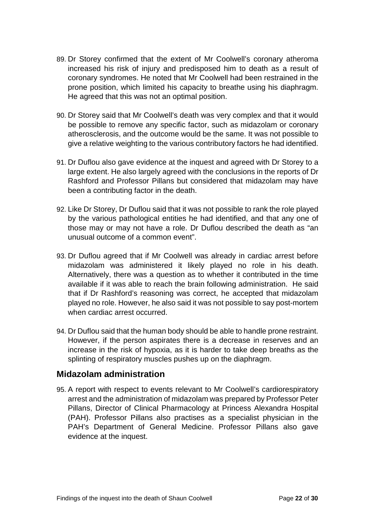- 89. Dr Storey confirmed that the extent of Mr Coolwell's coronary atheroma increased his risk of injury and predisposed him to death as a result of coronary syndromes. He noted that Mr Coolwell had been restrained in the prone position, which limited his capacity to breathe using his diaphragm. He agreed that this was not an optimal position.
- 90. Dr Storey said that Mr Coolwell's death was very complex and that it would be possible to remove any specific factor, such as midazolam or coronary atherosclerosis, and the outcome would be the same. It was not possible to give a relative weighting to the various contributory factors he had identified.
- 91. Dr Duflou also gave evidence at the inquest and agreed with Dr Storey to a large extent. He also largely agreed with the conclusions in the reports of Dr Rashford and Professor Pillans but considered that midazolam may have been a contributing factor in the death.
- 92. Like Dr Storey, Dr Duflou said that it was not possible to rank the role played by the various pathological entities he had identified, and that any one of those may or may not have a role. Dr Duflou described the death as "an unusual outcome of a common event".
- 93. Dr Duflou agreed that if Mr Coolwell was already in cardiac arrest before midazolam was administered it likely played no role in his death. Alternatively, there was a question as to whether it contributed in the time available if it was able to reach the brain following administration. He said that if Dr Rashford's reasoning was correct, he accepted that midazolam played no role. However, he also said it was not possible to say post-mortem when cardiac arrest occurred.
- 94. Dr Duflou said that the human body should be able to handle prone restraint. However, if the person aspirates there is a decrease in reserves and an increase in the risk of hypoxia, as it is harder to take deep breaths as the splinting of respiratory muscles pushes up on the diaphragm.

#### <span id="page-24-0"></span>**Midazolam administration**

95. A report with respect to events relevant to Mr Coolwell's cardiorespiratory arrest and the administration of midazolam was prepared by Professor Peter Pillans, Director of Clinical Pharmacology at Princess Alexandra Hospital (PAH). Professor Pillans also practises as a specialist physician in the PAH's Department of General Medicine. Professor Pillans also gave evidence at the inquest.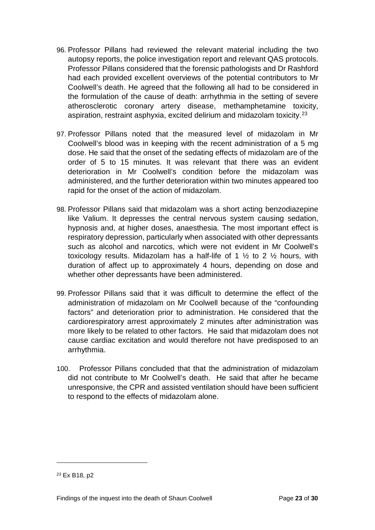- 96. Professor Pillans had reviewed the relevant material including the two autopsy reports, the police investigation report and relevant QAS protocols. Professor Pillans considered that the forensic pathologists and Dr Rashford had each provided excellent overviews of the potential contributors to Mr Coolwell's death. He agreed that the following all had to be considered in the formulation of the cause of death: arrhythmia in the setting of severe atherosclerotic coronary artery disease, methamphetamine toxicity, aspiration, restraint asphyxia, excited delirium and midazolam toxicity.<sup>[23](#page-25-0)</sup>
- 97. Professor Pillans noted that the measured level of midazolam in Mr Coolwell's blood was in keeping with the recent administration of a 5 mg dose. He said that the onset of the sedating effects of midazolam are of the order of 5 to 15 minutes. It was relevant that there was an evident deterioration in Mr Coolwell's condition before the midazolam was administered, and the further deterioration within two minutes appeared too rapid for the onset of the action of midazolam.
- 98. Professor Pillans said that midazolam was a short acting benzodiazepine like Valium. It depresses the central nervous system causing sedation, hypnosis and, at higher doses, anaesthesia. The most important effect is respiratory depression, particularly when associated with other depressants such as alcohol and narcotics, which were not evident in Mr Coolwell's toxicology results. Midazolam has a half-life of 1  $\frac{1}{2}$  to 2  $\frac{1}{2}$  hours, with duration of affect up to approximately 4 hours, depending on dose and whether other depressants have been administered.
- 99. Professor Pillans said that it was difficult to determine the effect of the administration of midazolam on Mr Coolwell because of the "confounding factors" and deterioration prior to administration. He considered that the cardiorespiratory arrest approximately 2 minutes after administration was more likely to be related to other factors. He said that midazolam does not cause cardiac excitation and would therefore not have predisposed to an arrhythmia.
- 100. Professor Pillans concluded that that the administration of midazolam did not contribute to Mr Coolwell's death. He said that after he became unresponsive, the CPR and assisted ventilation should have been sufficient to respond to the effects of midazolam alone.

<span id="page-25-0"></span><sup>23</sup> Ex B18, p2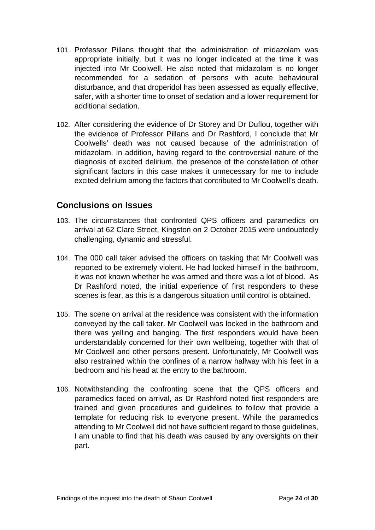- 101. Professor Pillans thought that the administration of midazolam was appropriate initially, but it was no longer indicated at the time it was injected into Mr Coolwell. He also noted that midazolam is no longer recommended for a sedation of persons with acute behavioural disturbance, and that droperidol has been assessed as equally effective, safer, with a shorter time to onset of sedation and a lower requirement for additional sedation.
- 102. After considering the evidence of Dr Storey and Dr Duflou, together with the evidence of Professor Pillans and Dr Rashford, I conclude that Mr Coolwells' death was not caused because of the administration of midazolam. In addition, having regard to the controversial nature of the diagnosis of excited delirium, the presence of the constellation of other significant factors in this case makes it unnecessary for me to include excited delirium among the factors that contributed to Mr Coolwell's death.

#### <span id="page-26-0"></span>**Conclusions on Issues**

- 103. The circumstances that confronted QPS officers and paramedics on arrival at 62 Clare Street, Kingston on 2 October 2015 were undoubtedly challenging, dynamic and stressful.
- 104. The 000 call taker advised the officers on tasking that Mr Coolwell was reported to be extremely violent. He had locked himself in the bathroom, it was not known whether he was armed and there was a lot of blood. As Dr Rashford noted, the initial experience of first responders to these scenes is fear, as this is a dangerous situation until control is obtained.
- 105. The scene on arrival at the residence was consistent with the information conveyed by the call taker. Mr Coolwell was locked in the bathroom and there was yelling and banging. The first responders would have been understandably concerned for their own wellbeing, together with that of Mr Coolwell and other persons present. Unfortunately, Mr Coolwell was also restrained within the confines of a narrow hallway with his feet in a bedroom and his head at the entry to the bathroom.
- 106. Notwithstanding the confronting scene that the QPS officers and paramedics faced on arrival, as Dr Rashford noted first responders are trained and given procedures and guidelines to follow that provide a template for reducing risk to everyone present. While the paramedics attending to Mr Coolwell did not have sufficient regard to those guidelines, I am unable to find that his death was caused by any oversights on their part.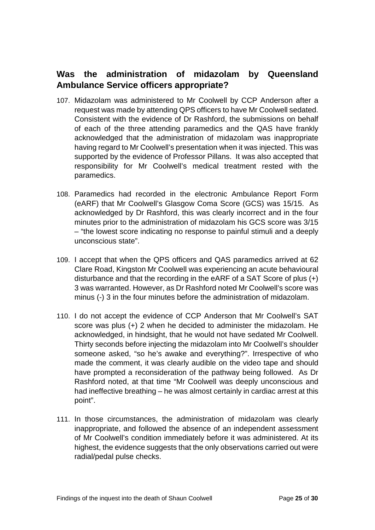## <span id="page-27-0"></span>**Was the administration of midazolam by Queensland Ambulance Service officers appropriate?**

- 107. Midazolam was administered to Mr Coolwell by CCP Anderson after a request was made by attending QPS officers to have Mr Coolwell sedated. Consistent with the evidence of Dr Rashford, the submissions on behalf of each of the three attending paramedics and the QAS have frankly acknowledged that the administration of midazolam was inappropriate having regard to Mr Coolwell's presentation when it was injected. This was supported by the evidence of Professor Pillans. It was also accepted that responsibility for Mr Coolwell's medical treatment rested with the paramedics.
- 108. Paramedics had recorded in the electronic Ambulance Report Form (eARF) that Mr Coolwell's Glasgow Coma Score (GCS) was 15/15. As acknowledged by Dr Rashford, this was clearly incorrect and in the four minutes prior to the administration of midazolam his GCS score was 3/15 – "the lowest score indicating no response to painful stimuli and a deeply unconscious state".
- 109. I accept that when the QPS officers and QAS paramedics arrived at 62 Clare Road, Kingston Mr Coolwell was experiencing an acute behavioural disturbance and that the recording in the eARF of a SAT Score of plus (+) 3 was warranted. However, as Dr Rashford noted Mr Coolwell's score was minus (-) 3 in the four minutes before the administration of midazolam.
- 110. I do not accept the evidence of CCP Anderson that Mr Coolwell's SAT score was plus (+) 2 when he decided to administer the midazolam. He acknowledged, in hindsight, that he would not have sedated Mr Coolwell. Thirty seconds before injecting the midazolam into Mr Coolwell's shoulder someone asked, "so he's awake and everything?". Irrespective of who made the comment, it was clearly audible on the video tape and should have prompted a reconsideration of the pathway being followed. As Dr Rashford noted, at that time "Mr Coolwell was deeply unconscious and had ineffective breathing – he was almost certainly in cardiac arrest at this point".
- 111. In those circumstances, the administration of midazolam was clearly inappropriate, and followed the absence of an independent assessment of Mr Coolwell's condition immediately before it was administered. At its highest, the evidence suggests that the only observations carried out were radial/pedal pulse checks.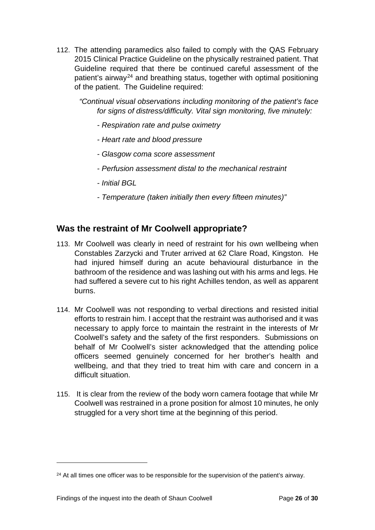112. The attending paramedics also failed to comply with the QAS February 2015 Clinical Practice Guideline on the physically restrained patient. That Guideline required that there be continued careful assessment of the patient's airway<sup>[24](#page-28-1)</sup> and breathing status, together with optimal positioning of the patient. The Guideline required:

*"Continual visual observations including monitoring of the patient's face for signs of distress/difficulty. Vital sign monitoring, five minutely:*

- *- Respiration rate and pulse oximetry*
- *- Heart rate and blood pressure*
- *- Glasgow coma score assessment*
- *- Perfusion assessment distal to the mechanical restraint*
- *- Initial BGL*
- *- Temperature (taken initially then every fifteen minutes)"*

#### <span id="page-28-0"></span>**Was the restraint of Mr Coolwell appropriate?**

- 113. Mr Coolwell was clearly in need of restraint for his own wellbeing when Constables Zarzycki and Truter arrived at 62 Clare Road, Kingston. He had injured himself during an acute behavioural disturbance in the bathroom of the residence and was lashing out with his arms and legs. He had suffered a severe cut to his right Achilles tendon, as well as apparent burns.
- 114. Mr Coolwell was not responding to verbal directions and resisted initial efforts to restrain him. I accept that the restraint was authorised and it was necessary to apply force to maintain the restraint in the interests of Mr Coolwell's safety and the safety of the first responders. Submissions on behalf of Mr Coolwell's sister acknowledged that the attending police officers seemed genuinely concerned for her brother's health and wellbeing, and that they tried to treat him with care and concern in a difficult situation.
- 115. It is clear from the review of the body worn camera footage that while Mr Coolwell was restrained in a prone position for almost 10 minutes, he only struggled for a very short time at the beginning of this period.

<span id="page-28-1"></span> $24$  At all times one officer was to be responsible for the supervision of the patient's airway.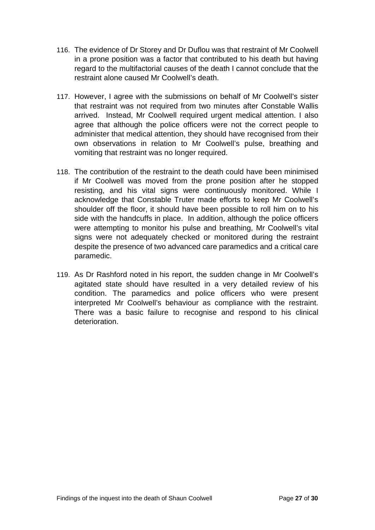- 116. The evidence of Dr Storey and Dr Duflou was that restraint of Mr Coolwell in a prone position was a factor that contributed to his death but having regard to the multifactorial causes of the death I cannot conclude that the restraint alone caused Mr Coolwell's death.
- 117. However, I agree with the submissions on behalf of Mr Coolwell's sister that restraint was not required from two minutes after Constable Wallis arrived. Instead, Mr Coolwell required urgent medical attention. I also agree that although the police officers were not the correct people to administer that medical attention, they should have recognised from their own observations in relation to Mr Coolwell's pulse, breathing and vomiting that restraint was no longer required.
- 118. The contribution of the restraint to the death could have been minimised if Mr Coolwell was moved from the prone position after he stopped resisting, and his vital signs were continuously monitored. While I acknowledge that Constable Truter made efforts to keep Mr Coolwell's shoulder off the floor, it should have been possible to roll him on to his side with the handcuffs in place. In addition, although the police officers were attempting to monitor his pulse and breathing, Mr Coolwell's vital signs were not adequately checked or monitored during the restraint despite the presence of two advanced care paramedics and a critical care paramedic.
- 119. As Dr Rashford noted in his report, the sudden change in Mr Coolwell's agitated state should have resulted in a very detailed review of his condition. The paramedics and police officers who were present interpreted Mr Coolwell's behaviour as compliance with the restraint. There was a basic failure to recognise and respond to his clinical deterioration.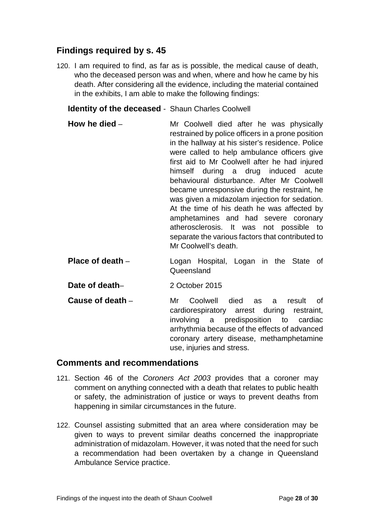## <span id="page-30-0"></span>**Findings required by s. 45**

120. I am required to find, as far as is possible, the medical cause of death, who the deceased person was and when, where and how he came by his death. After considering all the evidence, including the material contained in the exhibits, I am able to make the following findings:

<span id="page-30-1"></span>**Identity of the deceased** - Shaun Charles Coolwell

- <span id="page-30-2"></span>**How he died** – Mr Coolwell died after he was physically restrained by police officers in a prone position in the hallway at his sister's residence. Police were called to help ambulance officers give first aid to Mr Coolwell after he had injured himself during a drug induced acute behavioural disturbance. After Mr Coolwell became unresponsive during the restraint, he was given a midazolam injection for sedation. At the time of his death he was affected by amphetamines and had severe coronary atherosclerosis. It was not possible to separate the various factors that contributed to Mr Coolwell's death.
- <span id="page-30-3"></span>**Place of death** – Logan Hospital, Logan in the State of Queensland
- <span id="page-30-4"></span>**Date of death–** 2 October 2015
- <span id="page-30-5"></span>**Cause of death** – Mr Coolwell died as a result of cardiorespiratory arrest during restraint, involving a predisposition to cardiac arrhythmia because of the effects of advanced coronary artery disease, methamphetamine use, injuries and stress.

#### <span id="page-30-6"></span>**Comments and recommendations**

- 121. Section 46 of the *Coroners Act 2003* provides that a coroner may comment on anything connected with a death that relates to public health or safety, the administration of justice or ways to prevent deaths from happening in similar circumstances in the future.
- 122. Counsel assisting submitted that an area where consideration may be given to ways to prevent similar deaths concerned the inappropriate administration of midazolam. However, it was noted that the need for such a recommendation had been overtaken by a change in Queensland Ambulance Service practice.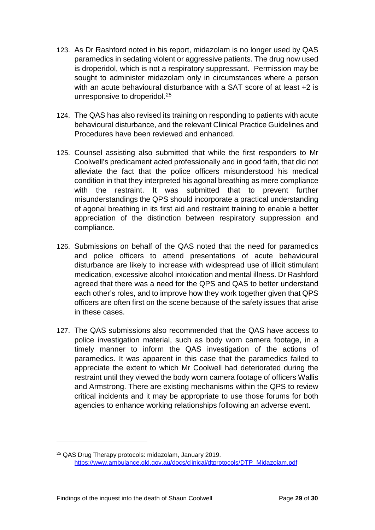- 123. As Dr Rashford noted in his report, midazolam is no longer used by QAS paramedics in sedating violent or aggressive patients. The drug now used is droperidol, which is not a respiratory suppressant. Permission may be sought to administer midazolam only in circumstances where a person with an acute behavioural disturbance with a SAT score of at least +2 is unresponsive to droperidol. [25](#page-31-0)
- 124. The QAS has also revised its training on responding to patients with acute behavioural disturbance, and the relevant Clinical Practice Guidelines and Procedures have been reviewed and enhanced.
- 125. Counsel assisting also submitted that while the first responders to Mr Coolwell's predicament acted professionally and in good faith, that did not alleviate the fact that the police officers misunderstood his medical condition in that they interpreted his agonal breathing as mere compliance with the restraint. It was submitted that to prevent further misunderstandings the QPS should incorporate a practical understanding of agonal breathing in its first aid and restraint training to enable a better appreciation of the distinction between respiratory suppression and compliance.
- 126. Submissions on behalf of the QAS noted that the need for paramedics and police officers to attend presentations of acute behavioural disturbance are likely to increase with widespread use of illicit stimulant medication, excessive alcohol intoxication and mental illness. Dr Rashford agreed that there was a need for the QPS and QAS to better understand each other's roles, and to improve how they work together given that QPS officers are often first on the scene because of the safety issues that arise in these cases.
- 127. The QAS submissions also recommended that the QAS have access to police investigation material, such as body worn camera footage, in a timely manner to inform the QAS investigation of the actions of paramedics. It was apparent in this case that the paramedics failed to appreciate the extent to which Mr Coolwell had deteriorated during the restraint until they viewed the body worn camera footage of officers Wallis and Armstrong. There are existing mechanisms within the QPS to review critical incidents and it may be appropriate to use those forums for both agencies to enhance working relationships following an adverse event.

<span id="page-31-0"></span><sup>25</sup> QAS Drug Therapy protocols: midazolam, January 2019. [https://www.ambulance.qld.gov.au/docs/clinical/dtprotocols/DTP\\_Midazolam.pdf](https://www.ambulance.qld.gov.au/docs/clinical/dtprotocols/DTP_Midazolam.pdf)